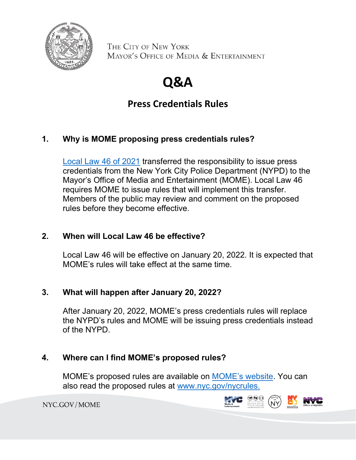

THE CITY OF NEW YORK MAYOR'S OFFICE OF MEDIA & ENTERTAINMENT

# **Q&A**

## **Press Credentials Rules**

### **1. Why is MOME proposing press credentials rules?**

[Local Law 46 of 2021](https://legistar.council.nyc.gov/LegislationDetail.aspx?ID=4668120&GUID=3A72C651-8B6D-4BBA-9ACB-A8B025C376C2&Options=ID|Text|&Search=46) transferred the responsibility to issue press credentials from the New York City Police Department (NYPD) to the Mayor's Office of Media and Entertainment (MOME). Local Law 46 requires MOME to issue rules that will implement this transfer. Members of the public may review and comment on the proposed rules before they become effective.

#### **2. When will Local Law 46 be effective?**

Local Law 46 will be effective on January 20, 2022. It is expected that MOME's rules will take effect at the same time.

#### **3. What will happen after January 20, 2022?**

After January 20, 2022, MOME's press credentials rules will replace the NYPD's rules and MOME will be issuing press credentials instead of the NYPD.

#### **4. Where can I find MOME's proposed rules?**

MOME's proposed rules are available on [MOME's website.](https://www1.nyc.gov/site/mome/about/about.page) You can also read the proposed rules at [www.nyc.gov/nycrules.](http://www.nyc.gov/nycrules)

NYC.GOV/MOME

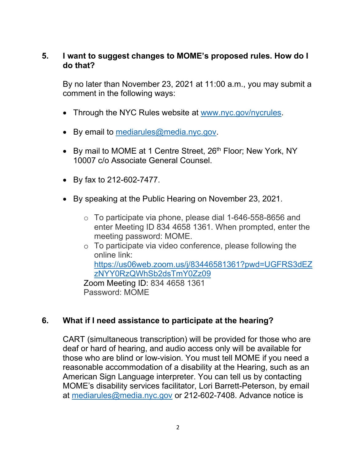#### **5. I want to suggest changes to MOME's proposed rules. How do I do that?**

By no later than November 23, 2021 at 11:00 a.m., you may submit a comment in the following ways:

- Through the NYC Rules website at [www.nyc.gov/nycrules.](http://www.nyc.gov/nycrules)
- By email to [mediarules@media.nyc.gov.](mailto:mediarules@media.nyc.gov)
- By mail to MOME at 1 Centre Street, 26<sup>th</sup> Floor; New York, NY 10007 c/o Associate General Counsel.
- By fax to 212-602-7477.
- By speaking at the Public Hearing on November 23, 2021.
	- o To participate via phone, please dial 1-646-558-8656 and enter Meeting ID 834 4658 1361. When prompted, enter the meeting password: MOME.
	- o To participate via video conference, please following the online link: [https://us06web.zoom.us/j/83446581361?pwd=UGFRS3dEZ](https://gcc02.safelinks.protection.outlook.com/?url=https%3A%2F%2Fus06web.zoom.us%2Fj%2F83446581361%3Fpwd%3DUGFRS3dEZzNYY0RzQWhSb2dsTmY0Zz09&data=04%7C01%7Ceiyap%40media.nyc.gov%7Ce3bf9814f7924f246a6c08d9940893fc%7C73d61799c28440228d4154cc4f1929ef%7C0%7C0%7C637703586829621737%7CUnknown%7CTWFpbGZsb3d8eyJWIjoiMC4wLjAwMDAiLCJQIjoiV2luMzIiLCJBTiI6Ik1haWwiLCJXVCI6Mn0%3D%7C1000&sdata=xjxBX1w6QklgB7GznlsljRoQ6DRE7r8Y4RPoWAzErdY%3D&reserved=0) [zNYY0RzQWhSb2dsTmY0Zz09](https://gcc02.safelinks.protection.outlook.com/?url=https%3A%2F%2Fus06web.zoom.us%2Fj%2F83446581361%3Fpwd%3DUGFRS3dEZzNYY0RzQWhSb2dsTmY0Zz09&data=04%7C01%7Ceiyap%40media.nyc.gov%7Ce3bf9814f7924f246a6c08d9940893fc%7C73d61799c28440228d4154cc4f1929ef%7C0%7C0%7C637703586829621737%7CUnknown%7CTWFpbGZsb3d8eyJWIjoiMC4wLjAwMDAiLCJQIjoiV2luMzIiLCJBTiI6Ik1haWwiLCJXVCI6Mn0%3D%7C1000&sdata=xjxBX1w6QklgB7GznlsljRoQ6DRE7r8Y4RPoWAzErdY%3D&reserved=0) Zoom Meeting ID: 834 4658 1361 Password: MOME

#### **6. What if I need assistance to participate at the hearing?**

CART (simultaneous transcription) will be provided for those who are deaf or hard of hearing, and audio access only will be available for those who are blind or low-vision. You must tell MOME if you need a reasonable accommodation of a disability at the Hearing, such as an American Sign Language interpreter. You can tell us by contacting MOME's disability services facilitator, Lori Barrett-Peterson, by email at [mediarules@media.nyc.gov](mailto:mediarules@media.nyc.gov) or 212-602-7408. Advance notice is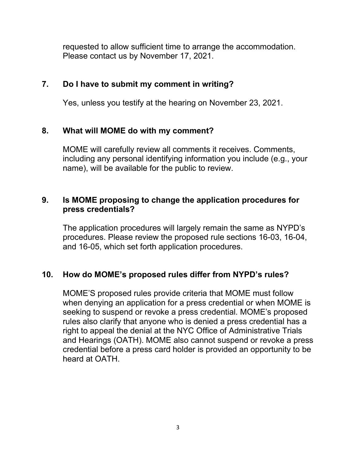requested to allow sufficient time to arrange the accommodation. Please contact us by November 17, 2021.

#### **7. Do I have to submit my comment in writing?**

Yes, unless you testify at the hearing on November 23, 2021.

#### **8. What will MOME do with my comment?**

MOME will carefully review all comments it receives. Comments, including any personal identifying information you include (e.g., your name), will be available for the public to review.

#### **9. Is MOME proposing to change the application procedures for press credentials?**

The application procedures will largely remain the same as NYPD's procedures. Please review the proposed rule sections 16-03, 16-04, and 16-05, which set forth application procedures.

#### **10. How do MOME's proposed rules differ from NYPD's rules?**

MOME'S proposed rules provide criteria that MOME must follow when denying an application for a press credential or when MOME is seeking to suspend or revoke a press credential. MOME's proposed rules also clarify that anyone who is denied a press credential has a right to appeal the denial at the NYC Office of Administrative Trials and Hearings (OATH). MOME also cannot suspend or revoke a press credential before a press card holder is provided an opportunity to be heard at OATH.